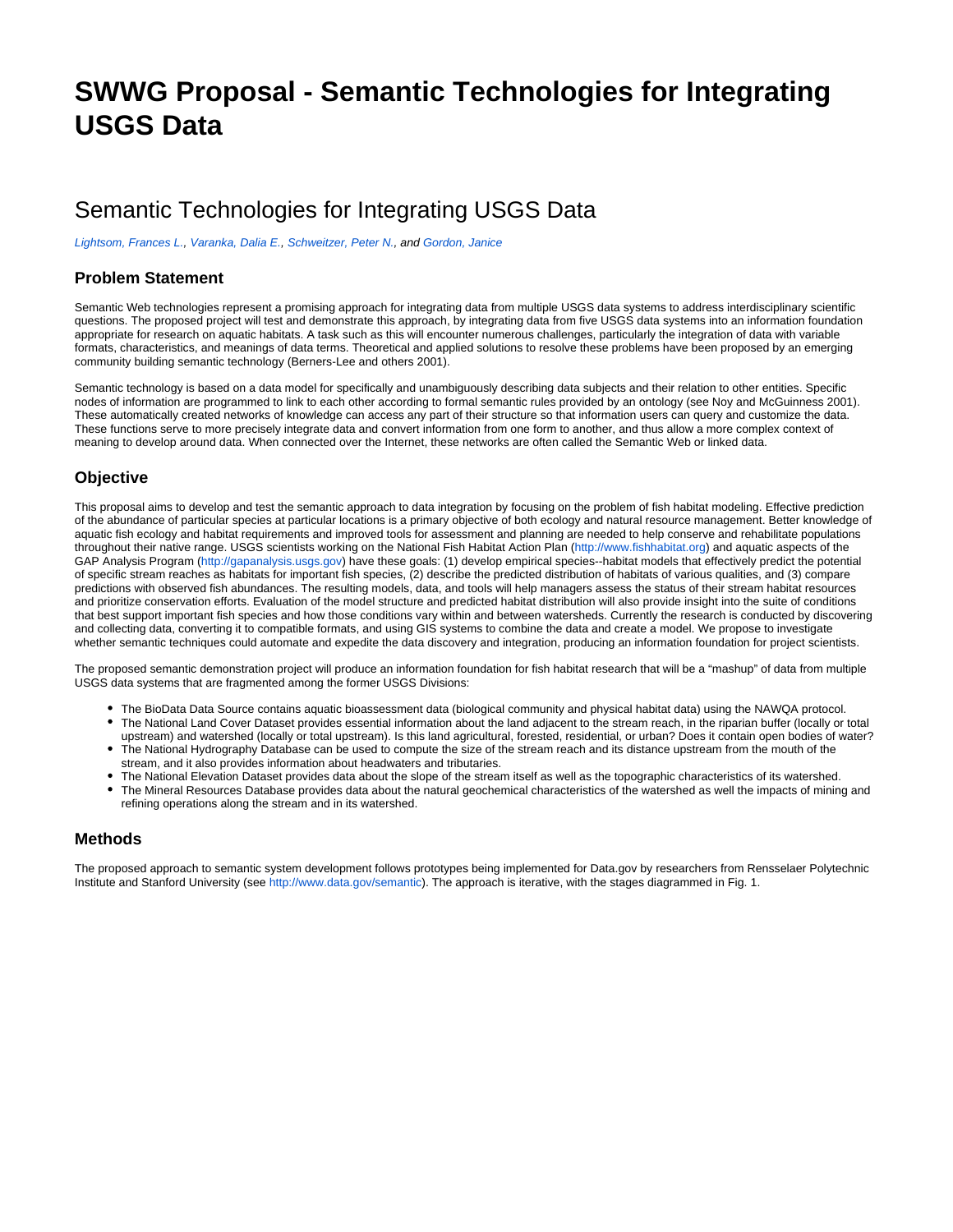# **SWWG Proposal - Semantic Technologies for Integrating USGS Data**

## Semantic Technologies for Integrating USGS Data

[Lightsom, Frances L.](https://my.usgs.gov/confluence/display/~flightsom@usgs.gov), [Varanka, Dalia E.,](https://my.usgs.gov/confluence/display/~dvaranka@usgs.gov) [Schweitzer, Peter N.](https://my.usgs.gov/confluence/display/~pschweitzer@usgs.gov), and [Gordon, Janice](https://my.usgs.gov/confluence/display/~janicegordon@usgs.gov)

#### **Problem Statement**

Semantic Web technologies represent a promising approach for integrating data from multiple USGS data systems to address interdisciplinary scientific questions. The proposed project will test and demonstrate this approach, by integrating data from five USGS data systems into an information foundation appropriate for research on aquatic habitats. A task such as this will encounter numerous challenges, particularly the integration of data with variable formats, characteristics, and meanings of data terms. Theoretical and applied solutions to resolve these problems have been proposed by an emerging community building semantic technology (Berners-Lee and others 2001).

Semantic technology is based on a data model for specifically and unambiguously describing data subjects and their relation to other entities. Specific nodes of information are programmed to link to each other according to formal semantic rules provided by an ontology (see Noy and McGuinness 2001). These automatically created networks of knowledge can access any part of their structure so that information users can query and customize the data. These functions serve to more precisely integrate data and convert information from one form to another, and thus allow a more complex context of meaning to develop around data. When connected over the Internet, these networks are often called the Semantic Web or linked data.

#### **Objective**

This proposal aims to develop and test the semantic approach to data integration by focusing on the problem of fish habitat modeling. Effective prediction of the abundance of particular species at particular locations is a primary objective of both ecology and natural resource management. Better knowledge of aquatic fish ecology and habitat requirements and improved tools for assessment and planning are needed to help conserve and rehabilitate populations throughout their native range. USGS scientists working on the National Fish Habitat Action Plan [\(http://www.fishhabitat.org\)](http://www.fishhabitat.org) and aquatic aspects of the GAP Analysis Program [\(http://gapanalysis.usgs.gov\)](http://gapanalysis.usgs.gov) have these goals: (1) develop empirical species--habitat models that effectively predict the potential of specific stream reaches as habitats for important fish species, (2) describe the predicted distribution of habitats of various qualities, and (3) compare predictions with observed fish abundances. The resulting models, data, and tools will help managers assess the status of their stream habitat resources and prioritize conservation efforts. Evaluation of the model structure and predicted habitat distribution will also provide insight into the suite of conditions that best support important fish species and how those conditions vary within and between watersheds. Currently the research is conducted by discovering and collecting data, converting it to compatible formats, and using GIS systems to combine the data and create a model. We propose to investigate whether semantic techniques could automate and expedite the data discovery and integration, producing an information foundation for project scientists.

The proposed semantic demonstration project will produce an information foundation for fish habitat research that will be a "mashup" of data from multiple USGS data systems that are fragmented among the former USGS Divisions:

- The BioData Data Source contains aquatic bioassessment data (biological community and physical habitat data) using the NAWQA protocol.
- The National Land Cover Dataset provides essential information about the land adjacent to the stream reach, in the riparian buffer (locally or total upstream) and watershed (locally or total upstream). Is this land agricultural, forested, residential, or urban? Does it contain open bodies of water? The National Hydrography Database can be used to compute the size of the stream reach and its distance upstream from the mouth of the stream, and it also provides information about headwaters and tributaries.
- The National Elevation Dataset provides data about the slope of the stream itself as well as the topographic characteristics of its watershed.
- The Mineral Resources Database provides data about the natural geochemical characteristics of the watershed as well the impacts of mining and refining operations along the stream and in its watershed.

#### **Methods**

The proposed approach to semantic system development follows prototypes being implemented for Data.gov by researchers from Rensselaer Polytechnic Institute and Stanford University (see<http://www.data.gov/semantic>). The approach is iterative, with the stages diagrammed in Fig. 1.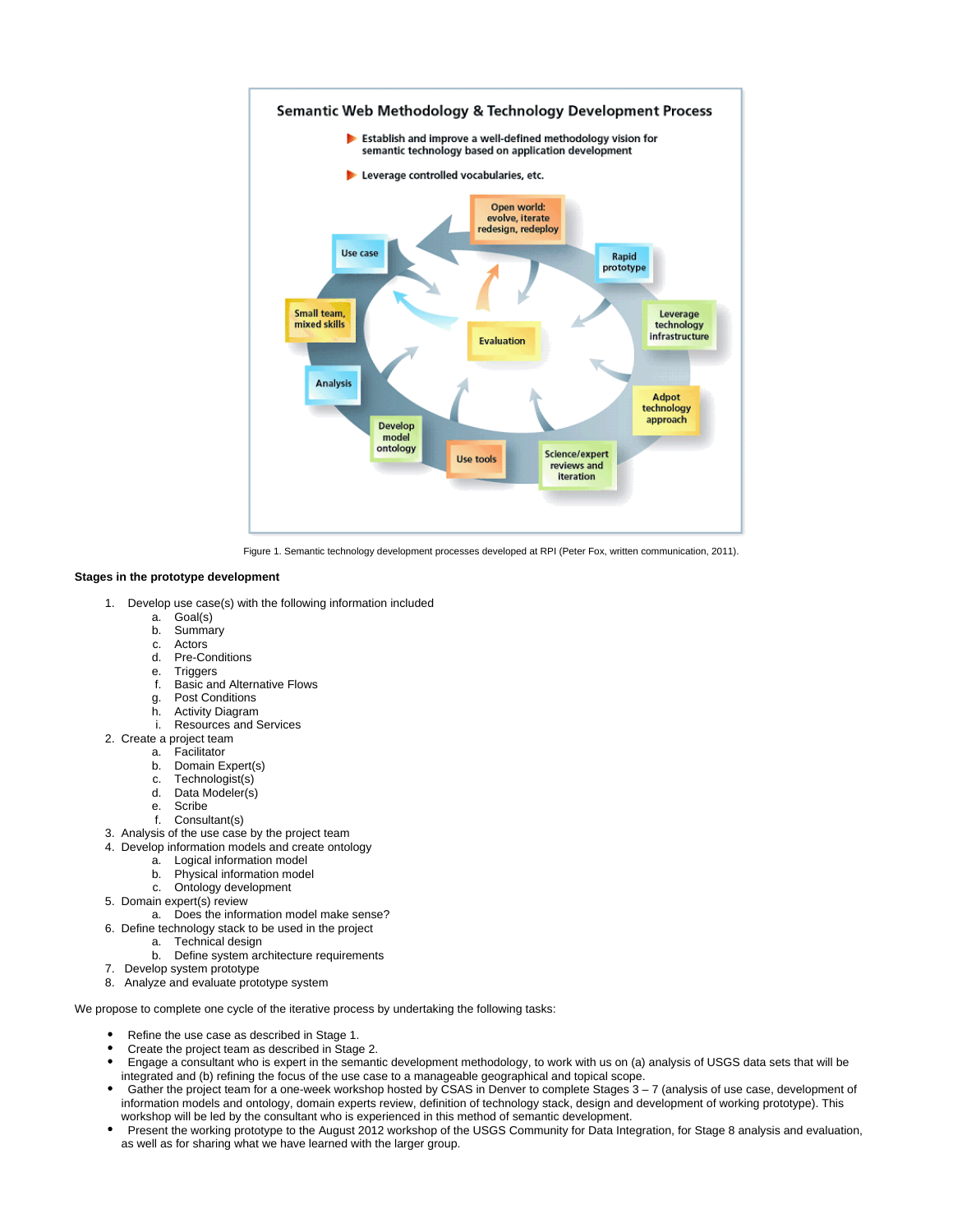

Figure 1. Semantic technology development processes developed at RPI (Peter Fox, written communication, 2011).

#### **Stages in the prototype development**

- 1. Develop use case(s) with the following information included
	- a. Goal(s)
	- b. **Summary**
	- c. Actors
	- d. Pre-Conditions
	- e. Triggers
	- f. Basic and Alternative Flows
	- g. Post Conditions
	- h. Activity Diagram
	- i. Resources and Services
- 2. Create a project team
	- a. Facilitator
	- b. Domain Expert(s)
	- c. Technologist(s)
	- d. Data Modeler(s)
	- e. Scribe
	-
	- f. Consultant(s)
- 3. Analysis of the use case by the project team
- 4. Develop information models and create ontology
	- a. Logical information model
	- b. Physical information model c. Ontology development
- 5. Domain expert(s) review
	- a. Does the information model make sense?
- 6. Define technology stack to be used in the project
	- a. Technical design
	- b. Define system architecture requirements
- 7. Develop system prototype
- 8. Analyze and evaluate prototype system

We propose to complete one cycle of the iterative process by undertaking the following tasks:

- Refine the use case as described in Stage 1.
- Create the project team as described in Stage 2.
- Engage a consultant who is expert in the semantic development methodology, to work with us on (a) analysis of USGS data sets that will be integrated and (b) refining the focus of the use case to a manageable geographical and topical scope.
- Gather the project team for a one-week workshop hosted by CSAS in Denver to complete Stages 3 7 (analysis of use case, development of information models and ontology, domain experts review, definition of technology stack, design and development of working prototype). This workshop will be led by the consultant who is experienced in this method of semantic development.
- Present the working prototype to the August 2012 workshop of the USGS Community for Data Integration, for Stage 8 analysis and evaluation, as well as for sharing what we have learned with the larger group.